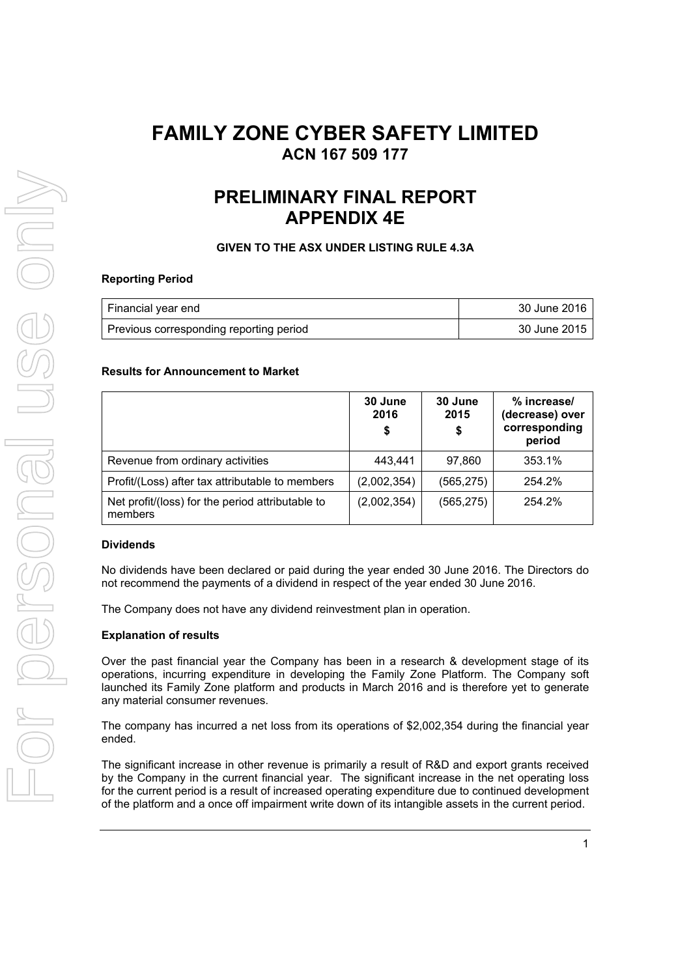# **FAMILY ZONE CYBER SAFETY LIMITED ACN 167 509 177**

# **PRELIMINARY FINAL REPORT APPENDIX 4E**

# **GIVEN TO THE ASX UNDER LISTING RULE 4.3A**

# **Reporting Period**

| Financial year end                      | 30 June 2016 |
|-----------------------------------------|--------------|
| Previous corresponding reporting period | 30 June 2015 |

## **Results for Announcement to Market**

|                                                             | 30 June<br>2016<br>\$ | 30 June<br>2015<br>\$ | % increase/<br>(decrease) over<br>corresponding<br>period |
|-------------------------------------------------------------|-----------------------|-----------------------|-----------------------------------------------------------|
| Revenue from ordinary activities                            | 443,441               | 97,860                | 353.1%                                                    |
| Profit/(Loss) after tax attributable to members             | (2,002,354)           | (565, 275)            | 254.2%                                                    |
| Net profit/(loss) for the period attributable to<br>members | (2,002,354)           | (565, 275)            | 254.2%                                                    |

## **Dividends**

No dividends have been declared or paid during the year ended 30 June 2016. The Directors do not recommend the payments of a dividend in respect of the year ended 30 June 2016.

The Company does not have any dividend reinvestment plan in operation.

# **Explanation of results**

Over the past financial year the Company has been in a research & development stage of its operations, incurring expenditure in developing the Family Zone Platform. The Company soft launched its Family Zone platform and products in March 2016 and is therefore yet to generate any material consumer revenues.

The company has incurred a net loss from its operations of \$2,002,354 during the financial year ended.

The significant increase in other revenue is primarily a result of R&D and export grants received by the Company in the current financial year. The significant increase in the net operating loss for the current period is a result of increased operating expenditure due to continued development of the platform and a once off impairment write down of its intangible assets in the current period.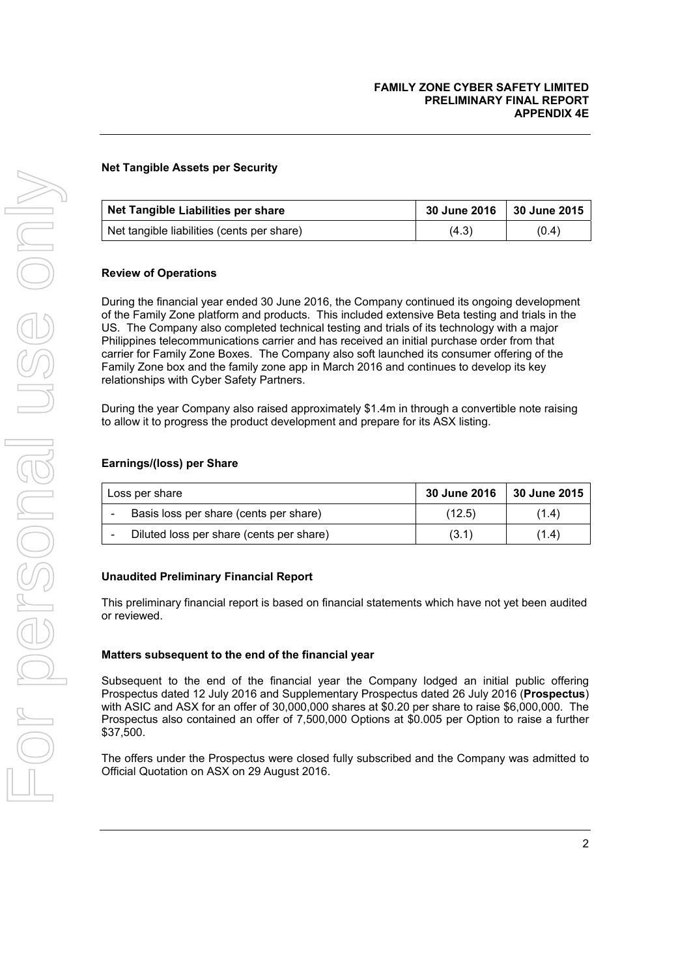# **Net Tangible Assets per Security**

| Net Tangible Liabilities per share         | 30 June 2016   30 June 2015 |       |
|--------------------------------------------|-----------------------------|-------|
| Net tangible liabilities (cents per share) | (4.3)                       | (0.4) |

## **Review of Operations**

During the financial year ended 30 June 2016, the Company continued its ongoing development of the Family Zone platform and products. This included extensive Beta testing and trials in the US. The Company also completed technical testing and trials of its technology with a major Philippines telecommunications carrier and has received an initial purchase order from that carrier for Family Zone Boxes. The Company also soft launched its consumer offering of the Family Zone box and the family zone app in March 2016 and continues to develop its key relationships with Cyber Safety Partners.

During the year Company also raised approximately \$1.4m in through a convertible note raising to allow it to progress the product development and prepare for its ASX listing.

#### **Earnings/(loss) per Share**

| Loss per share |                                                  | 30 June 2016 | 30 June 2015 |
|----------------|--------------------------------------------------|--------------|--------------|
|                | Basis loss per share (cents per share)<br>(12.5) |              | (1.4)        |
|                | Diluted loss per share (cents per share)         | (3.1)        | (1.4)        |

## **Unaudited Preliminary Financial Report**

This preliminary financial report is based on financial statements which have not yet been audited or reviewed.

#### **Matters subsequent to the end of the financial year**

Subsequent to the end of the financial year the Company lodged an initial public offering Prospectus dated 12 July 2016 and Supplementary Prospectus dated 26 July 2016 (**Prospectus**) with ASIC and ASX for an offer of 30,000,000 shares at \$0.20 per share to raise \$6,000,000. The Prospectus also contained an offer of 7,500,000 Options at \$0.005 per Option to raise a further \$37,500.

The offers under the Prospectus were closed fully subscribed and the Company was admitted to Official Quotation on ASX on 29 August 2016.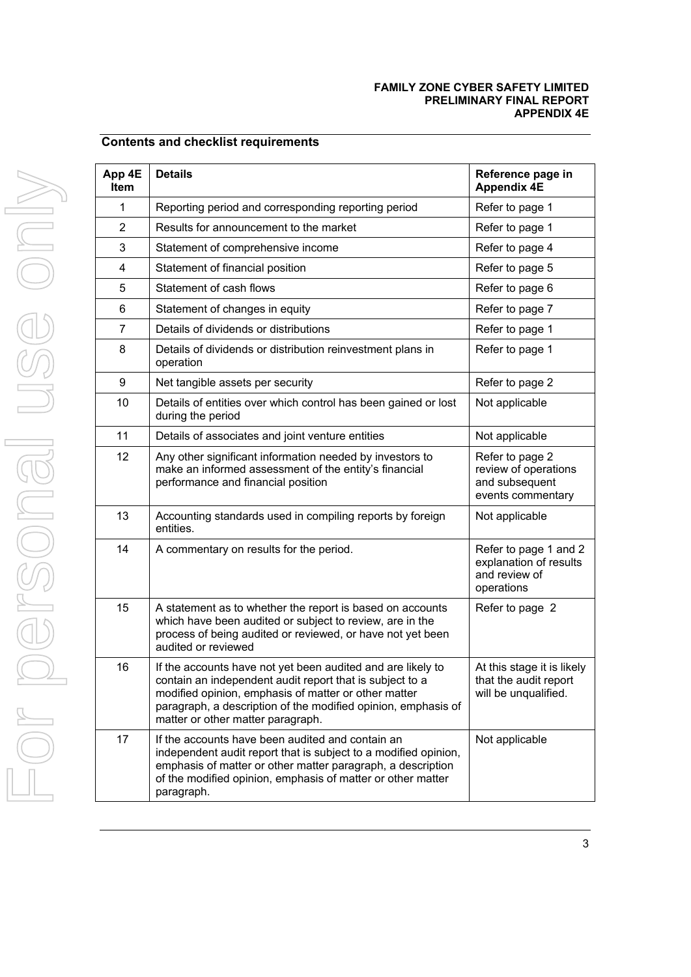## **FAMILY ZONE CYBER SAFETY LIMITED PRELIMINARY FINAL REPORT APPENDIX 4E**

# **Contents and checklist requirements**

| App 4E<br>ltem | <b>Details</b>                                                                                                                                                                                                                                                                        | Reference page in<br><b>Appendix 4E</b>                                        |
|----------------|---------------------------------------------------------------------------------------------------------------------------------------------------------------------------------------------------------------------------------------------------------------------------------------|--------------------------------------------------------------------------------|
| 1              | Reporting period and corresponding reporting period                                                                                                                                                                                                                                   | Refer to page 1                                                                |
| 2              | Results for announcement to the market                                                                                                                                                                                                                                                | Refer to page 1                                                                |
| 3              | Statement of comprehensive income                                                                                                                                                                                                                                                     | Refer to page 4                                                                |
| 4              | Statement of financial position                                                                                                                                                                                                                                                       | Refer to page 5                                                                |
| 5              | Statement of cash flows                                                                                                                                                                                                                                                               | Refer to page 6                                                                |
| 6              | Statement of changes in equity                                                                                                                                                                                                                                                        | Refer to page 7                                                                |
| $\overline{7}$ | Details of dividends or distributions                                                                                                                                                                                                                                                 | Refer to page 1                                                                |
| 8              | Details of dividends or distribution reinvestment plans in<br>operation                                                                                                                                                                                                               | Refer to page 1                                                                |
| 9              | Net tangible assets per security                                                                                                                                                                                                                                                      | Refer to page 2                                                                |
| 10             | Details of entities over which control has been gained or lost<br>during the period                                                                                                                                                                                                   | Not applicable                                                                 |
| 11             | Details of associates and joint venture entities                                                                                                                                                                                                                                      | Not applicable                                                                 |
| 12             | Any other significant information needed by investors to<br>make an informed assessment of the entity's financial<br>performance and financial position                                                                                                                               | Refer to page 2<br>review of operations<br>and subsequent<br>events commentary |
| 13             | Accounting standards used in compiling reports by foreign<br>entities.                                                                                                                                                                                                                | Not applicable                                                                 |
| 14             | A commentary on results for the period.                                                                                                                                                                                                                                               | Refer to page 1 and 2<br>explanation of results<br>and review of<br>operations |
| 15             | A statement as to whether the report is based on accounts<br>which have been audited or subject to review, are in the<br>process of being audited or reviewed, or have not yet been<br>audited or reviewed                                                                            | Refer to page 2                                                                |
| 16             | If the accounts have not yet been audited and are likely to<br>contain an independent audit report that is subject to a<br>modified opinion, emphasis of matter or other matter<br>paragraph, a description of the modified opinion, emphasis of<br>matter or other matter paragraph. | At this stage it is likely<br>that the audit report<br>will be unqualified.    |
| 17             | If the accounts have been audited and contain an<br>independent audit report that is subject to a modified opinion,<br>emphasis of matter or other matter paragraph, a description<br>of the modified opinion, emphasis of matter or other matter<br>paragraph.                       | Not applicable                                                                 |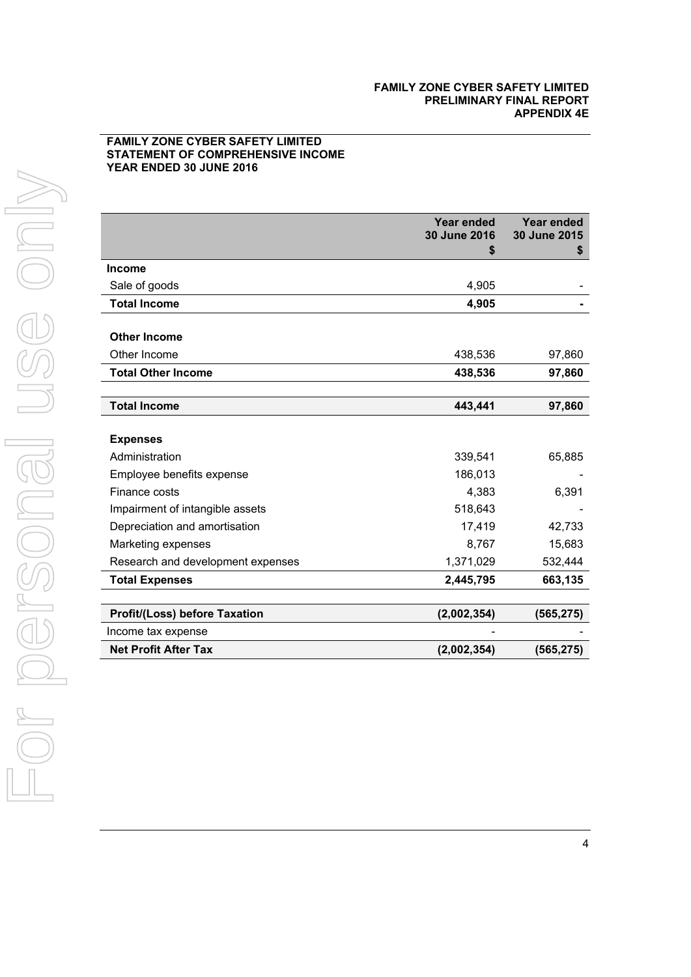## **FAMILY ZONE CYBER SAFETY LIMITED STATEMENT OF COMPREHENSIVE INCOME YEAR ENDED 30 JUNE 2016**

|                                      | Year ended<br>30 June 2016<br>S | Year ended<br>30 June 2015<br>\$ |
|--------------------------------------|---------------------------------|----------------------------------|
| <b>Income</b>                        |                                 |                                  |
| Sale of goods                        | 4,905                           |                                  |
| <b>Total Income</b>                  | 4,905                           |                                  |
| <b>Other Income</b>                  |                                 |                                  |
| Other Income                         | 438,536                         | 97,860                           |
| <b>Total Other Income</b>            | 438,536                         | 97,860                           |
|                                      |                                 |                                  |
| <b>Total Income</b>                  | 443,441                         | 97,860                           |
| <b>Expenses</b><br>Administration    | 339,541                         | 65,885                           |
| Employee benefits expense            | 186,013                         |                                  |
| Finance costs                        | 4,383                           | 6,391                            |
| Impairment of intangible assets      | 518,643                         |                                  |
| Depreciation and amortisation        | 17,419                          | 42,733                           |
| Marketing expenses                   | 8,767                           | 15,683                           |
| Research and development expenses    | 1,371,029                       | 532,444                          |
| <b>Total Expenses</b>                | 2,445,795                       | 663,135                          |
|                                      |                                 |                                  |
| <b>Profit/(Loss) before Taxation</b> | (2,002,354)                     | (565, 275)                       |
| Income tax expense                   |                                 |                                  |
| <b>Net Profit After Tax</b>          | (2,002,354)                     | (565, 275)                       |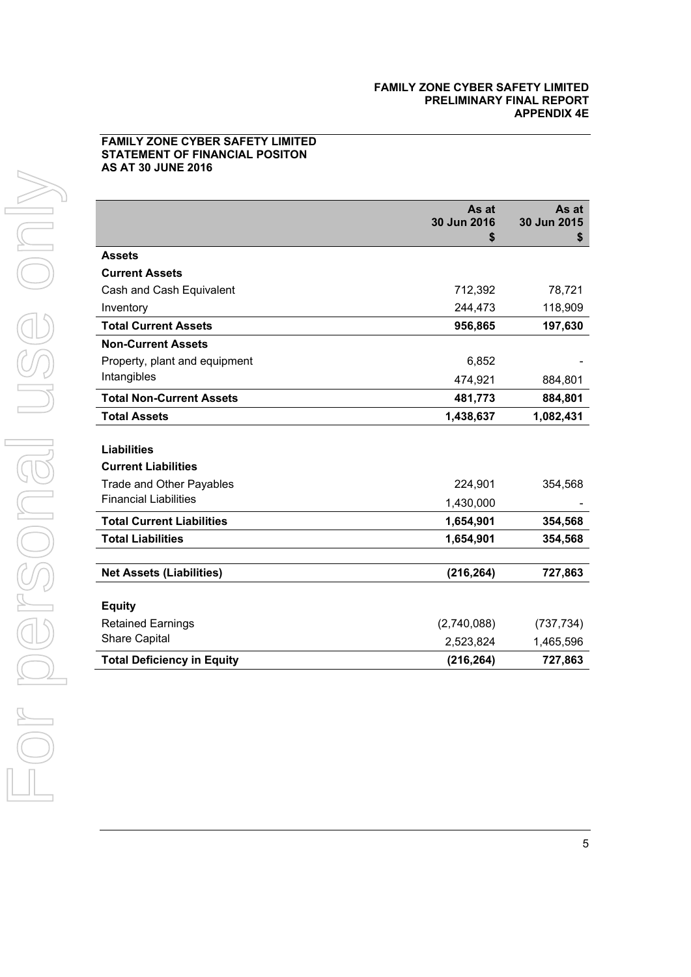# **FAMILY ZONE CYBER SAFETY LIMITED STATEMENT OF FINANCIAL POSITON AS AT 30 JUNE 2016**

|                                   | As at<br>30 Jun 2016 | As at<br>30 Jun 2015 |
|-----------------------------------|----------------------|----------------------|
|                                   | \$                   | \$                   |
| <b>Assets</b>                     |                      |                      |
| <b>Current Assets</b>             |                      |                      |
| Cash and Cash Equivalent          | 712,392              | 78,721               |
| Inventory                         | 244,473              | 118,909              |
| <b>Total Current Assets</b>       | 956,865              | 197,630              |
| <b>Non-Current Assets</b>         |                      |                      |
| Property, plant and equipment     | 6,852                |                      |
| Intangibles                       | 474,921              | 884,801              |
| <b>Total Non-Current Assets</b>   | 481,773              | 884,801              |
| <b>Total Assets</b>               | 1,438,637            | 1,082,431            |
|                                   |                      |                      |
| <b>Liabilities</b>                |                      |                      |
| <b>Current Liabilities</b>        |                      |                      |
| <b>Trade and Other Payables</b>   | 224,901              | 354,568              |
| <b>Financial Liabilities</b>      | 1,430,000            |                      |
| <b>Total Current Liabilities</b>  | 1,654,901            | 354,568              |
| <b>Total Liabilities</b>          | 1,654,901            | 354,568              |
|                                   |                      |                      |
| <b>Net Assets (Liabilities)</b>   | (216, 264)           | 727,863              |
|                                   |                      |                      |
| <b>Equity</b>                     |                      |                      |
| <b>Retained Earnings</b>          | (2,740,088)          | (737, 734)           |
| <b>Share Capital</b>              | 2,523,824            | 1,465,596            |
| <b>Total Deficiency in Equity</b> | (216, 264)           | 727,863              |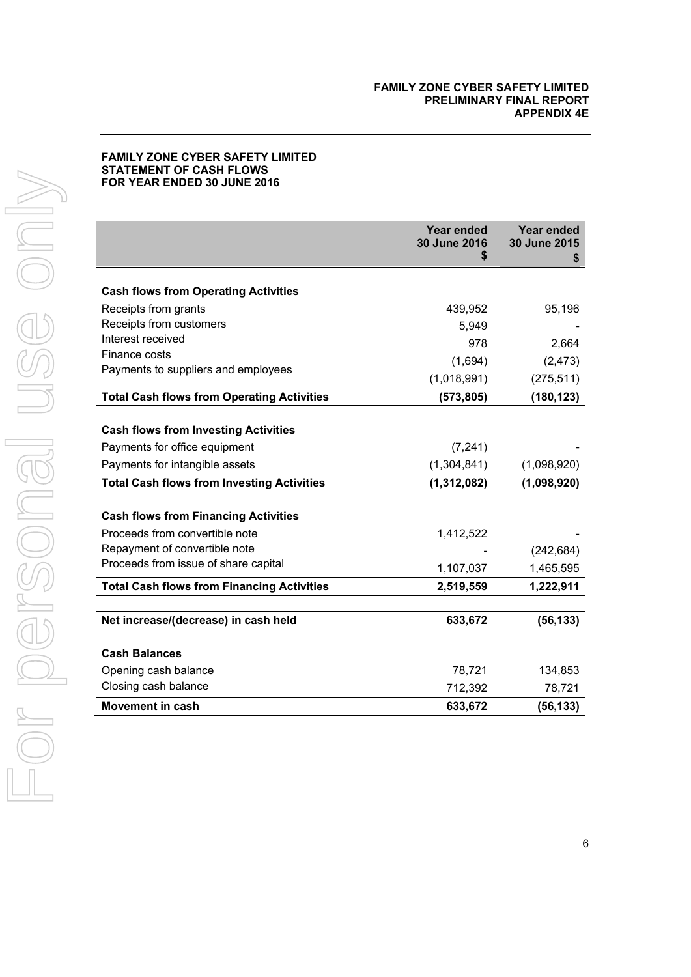# **FAMILY ZONE CYBER SAFETY LIMITED STATEMENT OF CASH FLOWS FOR YEAR ENDED 30 JUNE 2016**

|                                                   | Year ended<br>30 June 2016<br>S | <b>Year ended</b><br>30 June 2015<br>S |
|---------------------------------------------------|---------------------------------|----------------------------------------|
| <b>Cash flows from Operating Activities</b>       |                                 |                                        |
| Receipts from grants                              | 439,952                         | 95,196                                 |
| Receipts from customers                           | 5,949                           |                                        |
| Interest received                                 | 978                             | 2,664                                  |
| Finance costs                                     | (1,694)                         | (2, 473)                               |
| Payments to suppliers and employees               |                                 |                                        |
|                                                   | (1,018,991)                     | (275, 511)                             |
| <b>Total Cash flows from Operating Activities</b> | (573, 805)                      | (180, 123)                             |
| <b>Cash flows from Investing Activities</b>       |                                 |                                        |
| Payments for office equipment                     | (7, 241)                        |                                        |
| Payments for intangible assets                    | (1,304,841)                     | (1,098,920)                            |
| <b>Total Cash flows from Investing Activities</b> | (1, 312, 082)                   | (1,098,920)                            |
| <b>Cash flows from Financing Activities</b>       |                                 |                                        |
| Proceeds from convertible note                    | 1,412,522                       |                                        |
| Repayment of convertible note                     |                                 | (242, 684)                             |
| Proceeds from issue of share capital              | 1,107,037                       | 1,465,595                              |
| <b>Total Cash flows from Financing Activities</b> | 2,519,559                       | 1,222,911                              |
|                                                   |                                 |                                        |
| Net increase/(decrease) in cash held              | 633,672                         | (56, 133)                              |
| <b>Cash Balances</b>                              |                                 |                                        |
| Opening cash balance                              | 78,721                          | 134,853                                |
| Closing cash balance                              | 712,392                         | 78,721                                 |
| Movement in cash                                  | 633,672                         | (56, 133)                              |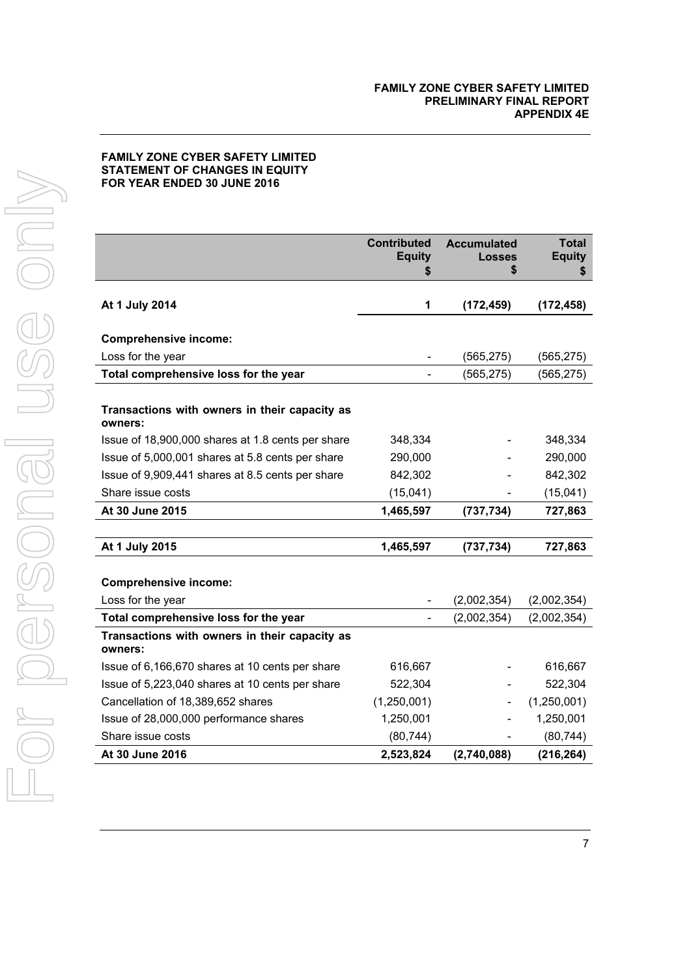# **FAMILY ZONE CYBER SAFETY LIMITED STATEMENT OF CHANGES IN EQUITY FOR YEAR ENDED 30 JUNE 2016**

|                                                          | <b>Contributed</b><br><b>Equity</b><br>S | <b>Accumulated</b><br><b>Losses</b><br>S | <b>Total</b><br><b>Equity</b><br>\$ |
|----------------------------------------------------------|------------------------------------------|------------------------------------------|-------------------------------------|
| At 1 July 2014                                           | 1                                        | (172, 459)                               | (172, 458)                          |
| <b>Comprehensive income:</b>                             |                                          |                                          |                                     |
| Loss for the year                                        |                                          | (565, 275)                               | (565, 275)                          |
| Total comprehensive loss for the year                    |                                          | (565, 275)                               | (565, 275)                          |
| Transactions with owners in their capacity as<br>owners: |                                          |                                          |                                     |
| Issue of 18,900,000 shares at 1.8 cents per share        | 348,334                                  |                                          | 348,334                             |
| Issue of 5,000,001 shares at 5.8 cents per share         | 290,000                                  |                                          | 290,000                             |
| Issue of 9,909,441 shares at 8.5 cents per share         | 842,302                                  |                                          | 842,302                             |
| Share issue costs                                        | (15,041)                                 |                                          | (15,041)                            |
| At 30 June 2015                                          | 1,465,597                                | (737, 734)                               | 727,863                             |
|                                                          |                                          |                                          |                                     |
| At 1 July 2015                                           | 1,465,597                                | (737, 734)                               | 727,863                             |
| <b>Comprehensive income:</b>                             |                                          |                                          |                                     |
| Loss for the year                                        |                                          | (2,002,354)                              | (2,002,354)                         |
| Total comprehensive loss for the year                    |                                          | (2,002,354)                              | (2,002,354)                         |
| Transactions with owners in their capacity as<br>owners: |                                          |                                          |                                     |
| Issue of 6,166,670 shares at 10 cents per share          | 616,667                                  |                                          | 616,667                             |
| Issue of 5,223,040 shares at 10 cents per share          | 522,304                                  |                                          | 522,304                             |
| Cancellation of 18,389,652 shares                        | (1,250,001)                              |                                          | (1,250,001)                         |
| Issue of 28,000,000 performance shares                   | 1,250,001                                |                                          | 1,250,001                           |
| Share issue costs                                        | (80, 744)                                |                                          | (80, 744)                           |
| At 30 June 2016                                          | 2,523,824                                | (2,740,088)                              | (216, 264)                          |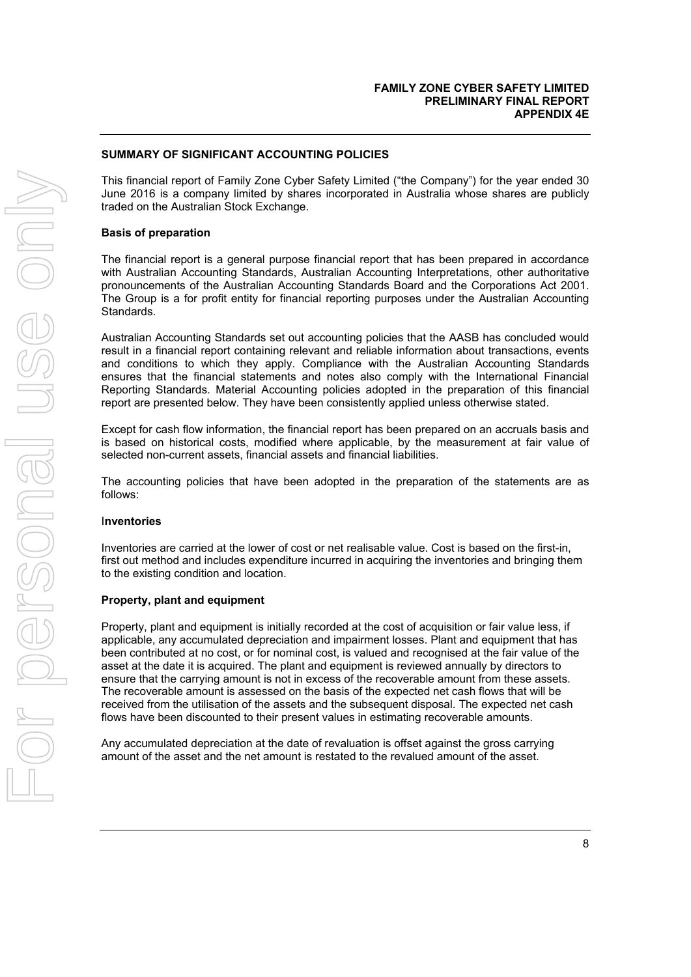# **SUMMARY OF SIGNIFICANT ACCOUNTING POLICIES**

This financial report of Family Zone Cyber Safety Limited ("the Company") for the year ended 30 June 2016 is a company limited by shares incorporated in Australia whose shares are publicly traded on the Australian Stock Exchange.

## **Basis of preparation**

The financial report is a general purpose financial report that has been prepared in accordance with Australian Accounting Standards, Australian Accounting Interpretations, other authoritative pronouncements of the Australian Accounting Standards Board and the Corporations Act 2001. The Group is a for profit entity for financial reporting purposes under the Australian Accounting Standards.

Australian Accounting Standards set out accounting policies that the AASB has concluded would result in a financial report containing relevant and reliable information about transactions, events and conditions to which they apply. Compliance with the Australian Accounting Standards ensures that the financial statements and notes also comply with the International Financial Reporting Standards. Material Accounting policies adopted in the preparation of this financial report are presented below. They have been consistently applied unless otherwise stated.

Except for cash flow information, the financial report has been prepared on an accruals basis and is based on historical costs, modified where applicable, by the measurement at fair value of selected non-current assets, financial assets and financial liabilities.

The accounting policies that have been adopted in the preparation of the statements are as follows:

## I**nventories**

Inventories are carried at the lower of cost or net realisable value. Cost is based on the first-in, first out method and includes expenditure incurred in acquiring the inventories and bringing them to the existing condition and location.

## **Property, plant and equipment**

Property, plant and equipment is initially recorded at the cost of acquisition or fair value less, if applicable, any accumulated depreciation and impairment losses. Plant and equipment that has been contributed at no cost, or for nominal cost, is valued and recognised at the fair value of the asset at the date it is acquired. The plant and equipment is reviewed annually by directors to ensure that the carrying amount is not in excess of the recoverable amount from these assets. The recoverable amount is assessed on the basis of the expected net cash flows that will be received from the utilisation of the assets and the subsequent disposal. The expected net cash flows have been discounted to their present values in estimating recoverable amounts.

Any accumulated depreciation at the date of revaluation is offset against the gross carrying amount of the asset and the net amount is restated to the revalued amount of the asset.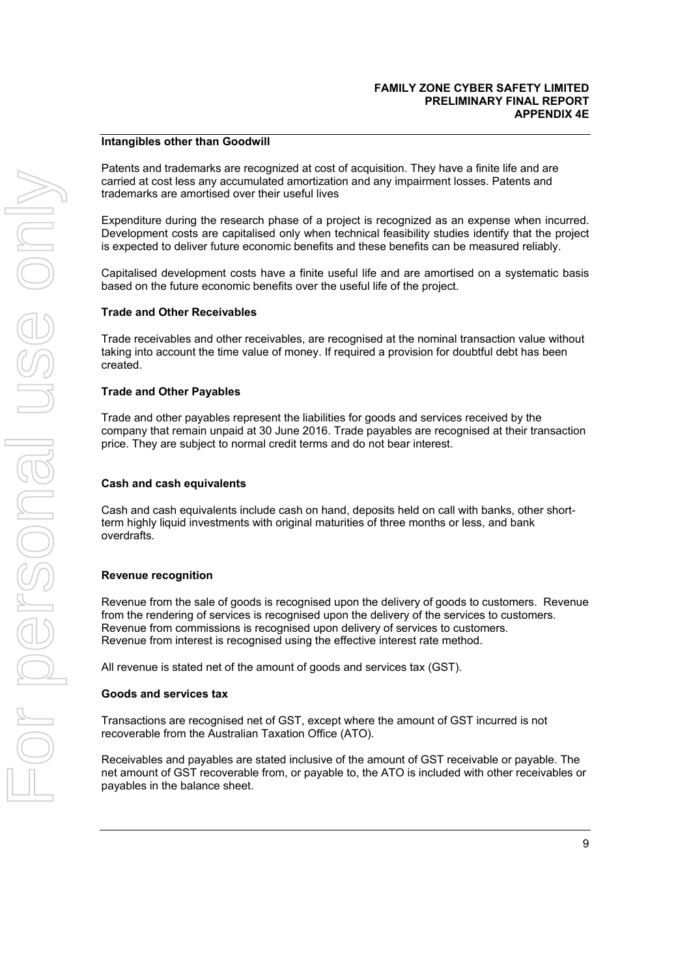## **Intangibles other than Goodwill**

Patents and trademarks are recognized at cost of acquisition. They have a finite life and are carried at cost less any accumulated amortization and any impairment losses. Patents and trademarks are amortised over their useful lives

Expenditure during the research phase of a project is recognized as an expense when incurred. Development costs are capitalised only when technical feasibility studies identify that the project is expected to deliver future economic benefits and these benefits can be measured reliably.

Capitalised development costs have a finite useful life and are amortised on a systematic basis based on the future economic benefits over the useful life of the project.

#### **Trade and Other Receivables**

Trade receivables and other receivables, are recognised at the nominal transaction value without taking into account the time value of money. If required a provision for doubtful debt has been created.

#### **Trade and Other Payables**

Trade and other payables represent the liabilities for goods and services received by the company that remain unpaid at 30 June 2016. Trade payables are recognised at their transaction price. They are subject to normal credit terms and do not bear interest.

#### **Cash and cash equivalents**

Cash and cash equivalents include cash on hand, deposits held on call with banks, other shortterm highly liquid investments with original maturities of three months or less, and bank overdrafts.

#### **Revenue recognition**

Revenue from the sale of goods is recognised upon the delivery of goods to customers. Revenue from the rendering of services is recognised upon the delivery of the services to customers. Revenue from commissions is recognised upon delivery of services to customers. Revenue from interest is recognised using the effective interest rate method.

All revenue is stated net of the amount of goods and services tax (GST).

#### **Goods and services tax**

Transactions are recognised net of GST, except where the amount of GST incurred is not recoverable from the Australian Taxation Office (ATO).

Receivables and payables are stated inclusive of the amount of GST receivable or payable. The net amount of GST recoverable from, or payable to, the ATO is included with other receivables or payables in the balance sheet.